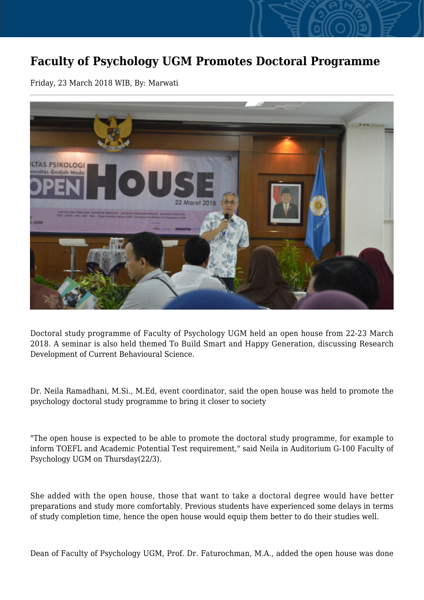## **Faculty of Psychology UGM Promotes Doctoral Programme**

Friday, 23 March 2018 WIB, By: Marwati



Doctoral study programme of Faculty of Psychology UGM held an open house from 22-23 March 2018. A seminar is also held themed To Build Smart and Happy Generation, discussing Research Development of Current Behavioural Science.

Dr. Neila Ramadhani, M.Si., M.Ed, event coordinator, said the open house was held to promote the psychology doctoral study programme to bring it closer to society

"The open house is expected to be able to promote the doctoral study programme, for example to inform TOEFL and Academic Potential Test requirement," said Neila in Auditorium G-100 Faculty of Psychology UGM on Thursday(22/3).

She added with the open house, those that want to take a doctoral degree would have better preparations and study more comfortably. Previous students have experienced some delays in terms of study completion time, hence the open house would equip them better to do their studies well.

Dean of Faculty of Psychology UGM, Prof. Dr. Faturochman, M.A., added the open house was done